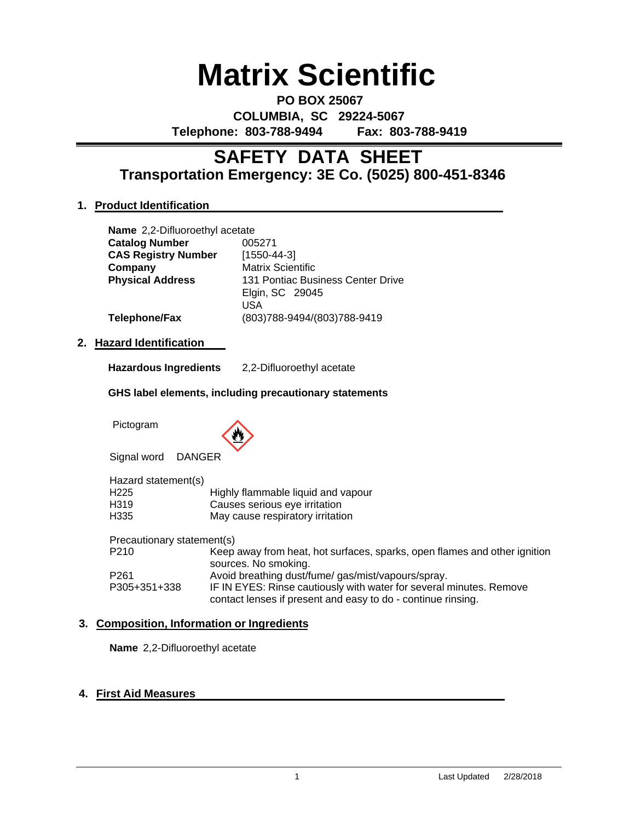# **Matrix Scientific**

**PO BOX 25067 COLUMBIA, SC 29224-5067 Telephone: 803-788-9494 Fax: 803-788-9419**

# **Transportation Emergency: 3E Co. (5025) 800-451-8346 SAFETY DATA SHEET**

# **1. Product Identification**

|    | <b>Name</b> 2,2-Difluoroethyl acetate |                                                             |
|----|---------------------------------------|-------------------------------------------------------------|
|    | <b>Catalog Number</b>                 | 005271                                                      |
|    | <b>CAS Registry Number</b>            | $[1550 - 44 - 3]$                                           |
|    | Company                               | <b>Matrix Scientific</b>                                    |
|    | <b>Physical Address</b>               | 131 Pontiac Business Center Drive<br>Elgin, SC 29045<br>USA |
|    | Telephone/Fax                         | (803)788-9494/(803)788-9419                                 |
| 2. | <b>Hazard Identification</b>          |                                                             |
|    | Hazardous Ingredients                 | 2,2-Difluoroethyl acetate                                   |

#### **GHS label elements, including precautionary statements**

Pictogram



Signal word DANGER

| Hazard statement(s)        |                                                                                                                                     |
|----------------------------|-------------------------------------------------------------------------------------------------------------------------------------|
| H225                       | Highly flammable liquid and vapour                                                                                                  |
| H319                       | Causes serious eye irritation                                                                                                       |
| H335                       | May cause respiratory irritation                                                                                                    |
| Precautionary statement(s) |                                                                                                                                     |
| P210                       | Keep away from heat, hot surfaces, sparks, open flames and other ignition<br>sources. No smoking.                                   |
| P261                       | Avoid breathing dust/fume/gas/mist/vapours/spray.                                                                                   |
| P305+351+338               | IF IN EYES: Rinse cautiously with water for several minutes. Remove<br>contact lenses if present and easy to do - continue rinsing. |

# **3. Composition, Information or Ingredients**

**Name** 2,2-Difluoroethyl acetate

# **4. First Aid Measures**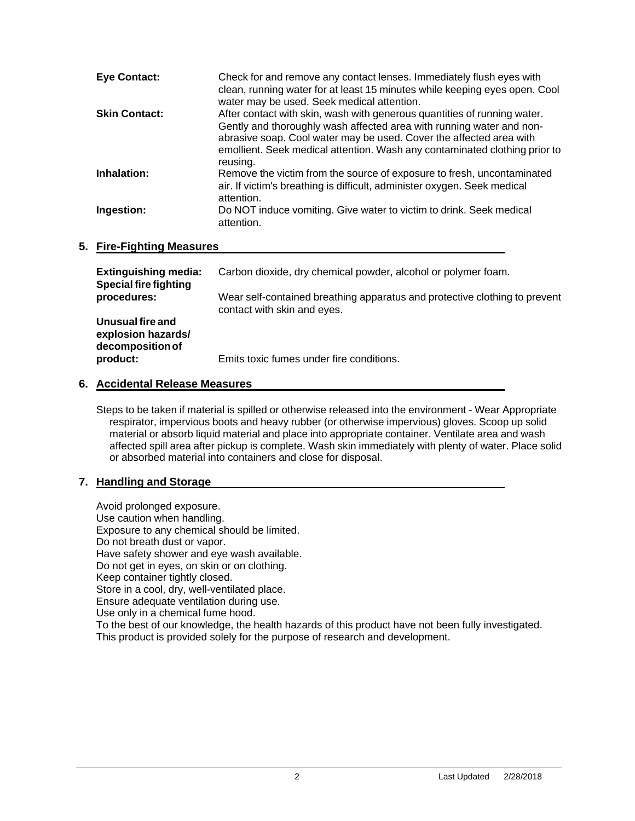| <b>Eye Contact:</b>  | Check for and remove any contact lenses. Immediately flush eyes with<br>clean, running water for at least 15 minutes while keeping eyes open. Cool<br>water may be used. Seek medical attention.                                                                                                                  |
|----------------------|-------------------------------------------------------------------------------------------------------------------------------------------------------------------------------------------------------------------------------------------------------------------------------------------------------------------|
| <b>Skin Contact:</b> | After contact with skin, wash with generous quantities of running water.<br>Gently and thoroughly wash affected area with running water and non-<br>abrasive soap. Cool water may be used. Cover the affected area with<br>emollient. Seek medical attention. Wash any contaminated clothing prior to<br>reusing. |
| Inhalation:          | Remove the victim from the source of exposure to fresh, uncontaminated<br>air. If victim's breathing is difficult, administer oxygen. Seek medical<br>attention.                                                                                                                                                  |
| Ingestion:           | Do NOT induce vomiting. Give water to victim to drink. Seek medical<br>attention.                                                                                                                                                                                                                                 |

#### **5. Fire-Fighting Measures**

| <b>Extinguishing media:</b><br><b>Special fire fighting</b> | Carbon dioxide, dry chemical powder, alcohol or polymer foam.                                             |
|-------------------------------------------------------------|-----------------------------------------------------------------------------------------------------------|
| procedures:                                                 | Wear self-contained breathing apparatus and protective clothing to prevent<br>contact with skin and eyes. |
| Unusual fire and<br>explosion hazards/<br>decomposition of  |                                                                                                           |
| product:                                                    | Emits toxic fumes under fire conditions.                                                                  |

#### **6. Accidental Release Measures**

Steps to be taken if material is spilled or otherwise released into the environment - Wear Appropriate respirator, impervious boots and heavy rubber (or otherwise impervious) gloves. Scoop up solid material or absorb liquid material and place into appropriate container. Ventilate area and wash affected spill area after pickup is complete. Wash skin immediately with plenty of water. Place solid or absorbed material into containers and close for disposal.

#### **7. Handling and Storage**

Avoid prolonged exposure. Use caution when handling. Exposure to any chemical should be limited. Do not breath dust or vapor. Have safety shower and eye wash available. Do not get in eyes, on skin or on clothing. Keep container tightly closed. Store in a cool, dry, well-ventilated place. Ensure adequate ventilation during use. Use only in a chemical fume hood. To the best of our knowledge, the health hazards of this product have not been fully investigated. This product is provided solely for the purpose of research and development.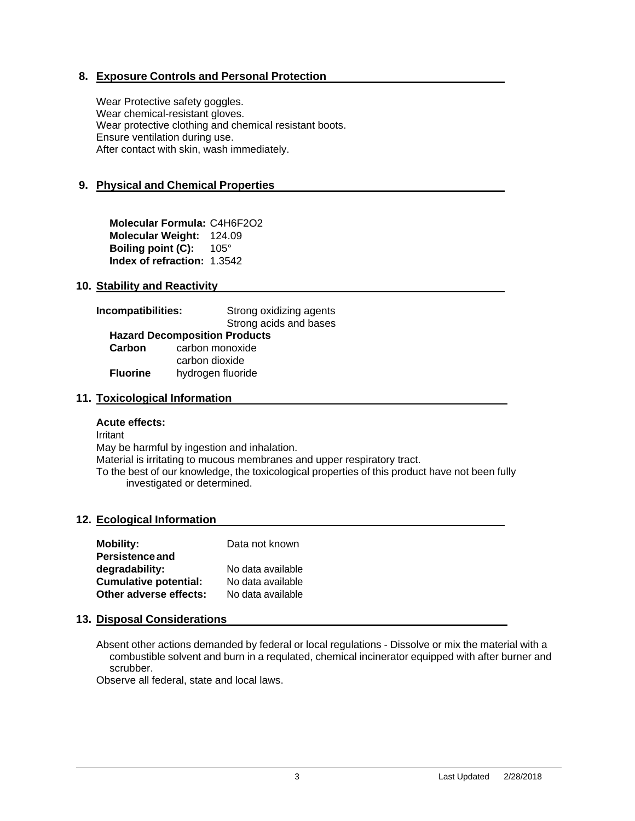# **8. Exposure Controls and Personal Protection**

Wear Protective safety goggles. Wear chemical-resistant gloves. Wear protective clothing and chemical resistant boots. Ensure ventilation during use. After contact with skin, wash immediately.

# **9. Physical and Chemical Properties**

**Molecular Formula:** C4H6F2O2 **Molecular Weight:** 124.09 **Boiling point (C): 105° Index of refraction:** 1.3542

# **10. Stability and Reactivity**

| Incompatibilities: | Strong oxidizing agents<br>Strong acids and bases |  |
|--------------------|---------------------------------------------------|--|
|                    | <b>Hazard Decomposition Products</b>              |  |
| Carbon             | carbon monoxide                                   |  |
|                    | carbon dioxide                                    |  |
| <b>Fluorine</b>    | hydrogen fluoride                                 |  |

# **11. Toxicological Information**

#### **Acute effects:**

Irritant May be harmful by ingestion and inhalation. Material is irritating to mucous membranes and upper respiratory tract. To the best of our knowledge, the toxicological properties of this product have not been fully investigated or determined.

# **12. Ecological Information**

| <b>Mobility:</b>             | Data not known    |
|------------------------------|-------------------|
| Persistence and              |                   |
| degradability:               | No data available |
| <b>Cumulative potential:</b> | No data available |
| Other adverse effects:       | No data available |

# **13. Disposal Considerations**

Absent other actions demanded by federal or local regulations - Dissolve or mix the material with a combustible solvent and burn in a requlated, chemical incinerator equipped with after burner and scrubber.

Observe all federal, state and local laws.